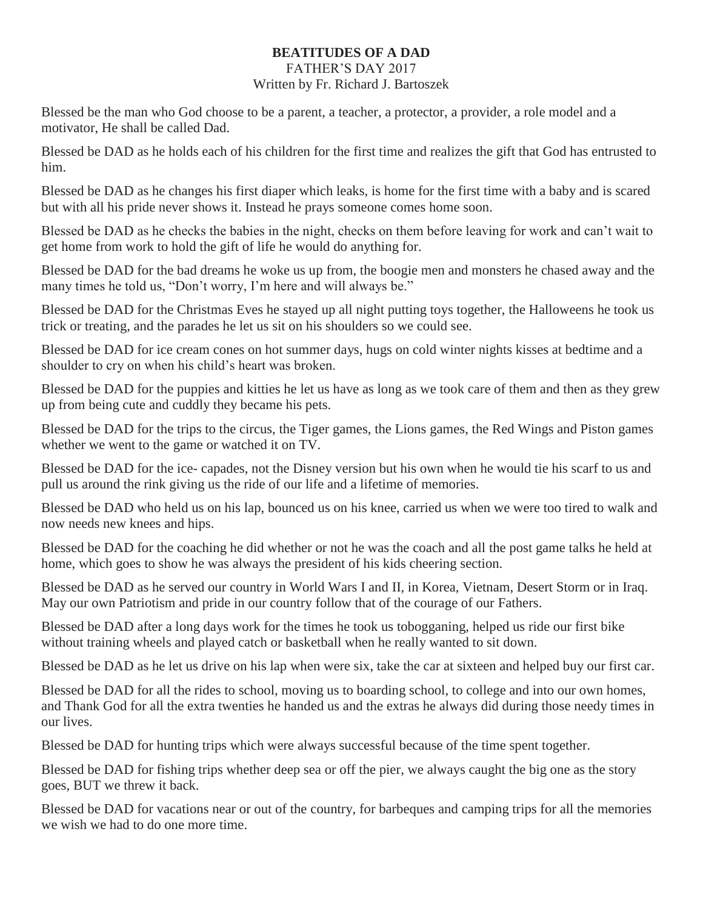## **BEATITUDES OF A DAD** FATHER'S DAY 2017

## Written by Fr. Richard J. Bartoszek

Blessed be the man who God choose to be a parent, a teacher, a protector, a provider, a role model and a motivator, He shall be called Dad.

Blessed be DAD as he holds each of his children for the first time and realizes the gift that God has entrusted to him.

Blessed be DAD as he changes his first diaper which leaks, is home for the first time with a baby and is scared but with all his pride never shows it. Instead he prays someone comes home soon.

Blessed be DAD as he checks the babies in the night, checks on them before leaving for work and can't wait to get home from work to hold the gift of life he would do anything for.

Blessed be DAD for the bad dreams he woke us up from, the boogie men and monsters he chased away and the many times he told us, "Don't worry, I'm here and will always be."

Blessed be DAD for the Christmas Eves he stayed up all night putting toys together, the Halloweens he took us trick or treating, and the parades he let us sit on his shoulders so we could see.

Blessed be DAD for ice cream cones on hot summer days, hugs on cold winter nights kisses at bedtime and a shoulder to cry on when his child's heart was broken.

Blessed be DAD for the puppies and kitties he let us have as long as we took care of them and then as they grew up from being cute and cuddly they became his pets.

Blessed be DAD for the trips to the circus, the Tiger games, the Lions games, the Red Wings and Piston games whether we went to the game or watched it on TV.

Blessed be DAD for the ice- capades, not the Disney version but his own when he would tie his scarf to us and pull us around the rink giving us the ride of our life and a lifetime of memories.

Blessed be DAD who held us on his lap, bounced us on his knee, carried us when we were too tired to walk and now needs new knees and hips.

Blessed be DAD for the coaching he did whether or not he was the coach and all the post game talks he held at home, which goes to show he was always the president of his kids cheering section.

Blessed be DAD as he served our country in World Wars I and II, in Korea, Vietnam, Desert Storm or in Iraq. May our own Patriotism and pride in our country follow that of the courage of our Fathers.

Blessed be DAD after a long days work for the times he took us tobogganing, helped us ride our first bike without training wheels and played catch or basketball when he really wanted to sit down.

Blessed be DAD as he let us drive on his lap when were six, take the car at sixteen and helped buy our first car.

Blessed be DAD for all the rides to school, moving us to boarding school, to college and into our own homes, and Thank God for all the extra twenties he handed us and the extras he always did during those needy times in our lives.

Blessed be DAD for hunting trips which were always successful because of the time spent together.

Blessed be DAD for fishing trips whether deep sea or off the pier, we always caught the big one as the story goes, BUT we threw it back.

Blessed be DAD for vacations near or out of the country, for barbeques and camping trips for all the memories we wish we had to do one more time.